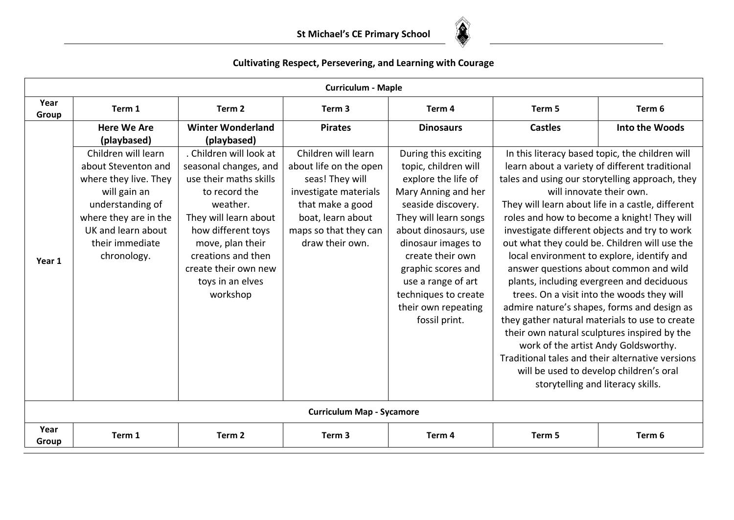

|               |                                                                                                                                                                                          |                                                                                                                                                                                                                                                          | <b>Curriculum - Maple</b>                                                                                                                                                      |                                                                                                                                                                                                                                                                                                                         |                  |                                                                                                                                                                                                                                                                                                                                                                                                                                                                                                                                                                                                                                                                                                                                                                                                                                                                                                        |
|---------------|------------------------------------------------------------------------------------------------------------------------------------------------------------------------------------------|----------------------------------------------------------------------------------------------------------------------------------------------------------------------------------------------------------------------------------------------------------|--------------------------------------------------------------------------------------------------------------------------------------------------------------------------------|-------------------------------------------------------------------------------------------------------------------------------------------------------------------------------------------------------------------------------------------------------------------------------------------------------------------------|------------------|--------------------------------------------------------------------------------------------------------------------------------------------------------------------------------------------------------------------------------------------------------------------------------------------------------------------------------------------------------------------------------------------------------------------------------------------------------------------------------------------------------------------------------------------------------------------------------------------------------------------------------------------------------------------------------------------------------------------------------------------------------------------------------------------------------------------------------------------------------------------------------------------------------|
| Year<br>Group | Term 1                                                                                                                                                                                   | Term <sub>2</sub>                                                                                                                                                                                                                                        | Term <sub>3</sub>                                                                                                                                                              | Term <sub>4</sub>                                                                                                                                                                                                                                                                                                       | Term 5<br>Term 6 |                                                                                                                                                                                                                                                                                                                                                                                                                                                                                                                                                                                                                                                                                                                                                                                                                                                                                                        |
|               | <b>Here We Are</b><br>(playbased)                                                                                                                                                        | <b>Winter Wonderland</b><br>(playbased)                                                                                                                                                                                                                  | <b>Pirates</b>                                                                                                                                                                 | <b>Dinosaurs</b>                                                                                                                                                                                                                                                                                                        | <b>Castles</b>   | Into the Woods                                                                                                                                                                                                                                                                                                                                                                                                                                                                                                                                                                                                                                                                                                                                                                                                                                                                                         |
| Year 1        | Children will learn<br>about Steventon and<br>where they live. They<br>will gain an<br>understanding of<br>where they are in the<br>UK and learn about<br>their immediate<br>chronology. | . Children will look at<br>seasonal changes, and<br>use their maths skills<br>to record the<br>weather.<br>They will learn about<br>how different toys<br>move, plan their<br>creations and then<br>create their own new<br>toys in an elves<br>workshop | Children will learn<br>about life on the open<br>seas! They will<br>investigate materials<br>that make a good<br>boat, learn about<br>maps so that they can<br>draw their own. | During this exciting<br>topic, children will<br>explore the life of<br>Mary Anning and her<br>seaside discovery.<br>They will learn songs<br>about dinosaurs, use<br>dinosaur images to<br>create their own<br>graphic scores and<br>use a range of art<br>techniques to create<br>their own repeating<br>fossil print. |                  | In this literacy based topic, the children will<br>learn about a variety of different traditional<br>tales and using our storytelling approach, they<br>will innovate their own.<br>They will learn about life in a castle, different<br>roles and how to become a knight! They will<br>investigate different objects and try to work<br>out what they could be. Children will use the<br>local environment to explore, identify and<br>answer questions about common and wild<br>plants, including evergreen and deciduous<br>trees. On a visit into the woods they will<br>admire nature's shapes, forms and design as<br>they gather natural materials to use to create<br>their own natural sculptures inspired by the<br>work of the artist Andy Goldsworthy.<br>Traditional tales and their alternative versions<br>will be used to develop children's oral<br>storytelling and literacy skills. |
|               |                                                                                                                                                                                          |                                                                                                                                                                                                                                                          | <b>Curriculum Map - Sycamore</b>                                                                                                                                               |                                                                                                                                                                                                                                                                                                                         |                  |                                                                                                                                                                                                                                                                                                                                                                                                                                                                                                                                                                                                                                                                                                                                                                                                                                                                                                        |
| Year<br>Group | Term 1                                                                                                                                                                                   | Term 2                                                                                                                                                                                                                                                   | Term <sub>3</sub>                                                                                                                                                              | Term 4                                                                                                                                                                                                                                                                                                                  | Term 5           | Term 6                                                                                                                                                                                                                                                                                                                                                                                                                                                                                                                                                                                                                                                                                                                                                                                                                                                                                                 |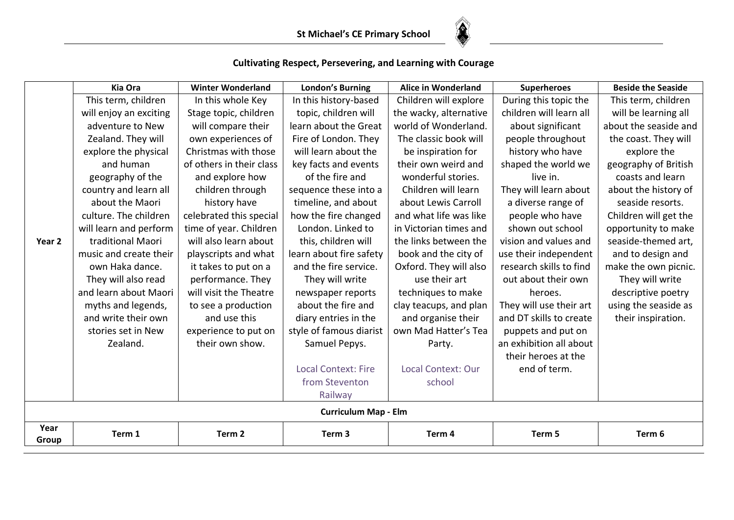

|               | <b>Kia Ora</b>         | <b>Winter Wonderland</b> | <b>London's Burning</b>     | <b>Alice in Wonderland</b> | <b>Superheroes</b>      | <b>Beside the Seaside</b> |
|---------------|------------------------|--------------------------|-----------------------------|----------------------------|-------------------------|---------------------------|
|               | This term, children    | In this whole Key        | In this history-based       | Children will explore      | During this topic the   | This term, children       |
|               | will enjoy an exciting | Stage topic, children    | topic, children will        | the wacky, alternative     | children will learn all | will be learning all      |
|               | adventure to New       | will compare their       | learn about the Great       | world of Wonderland.       | about significant       | about the seaside and     |
|               | Zealand. They will     | own experiences of       | Fire of London. They        | The classic book will      | people throughout       | the coast. They will      |
|               | explore the physical   | Christmas with those     | will learn about the        | be inspiration for         | history who have        | explore the               |
|               | and human              | of others in their class | key facts and events        | their own weird and        | shaped the world we     | geography of British      |
|               | geography of the       | and explore how          | of the fire and             | wonderful stories.         | live in.                | coasts and learn          |
|               | country and learn all  | children through         | sequence these into a       | Children will learn        | They will learn about   | about the history of      |
|               | about the Maori        | history have             | timeline, and about         | about Lewis Carroll        | a diverse range of      | seaside resorts.          |
|               | culture. The children  | celebrated this special  | how the fire changed        | and what life was like     | people who have         | Children will get the     |
|               | will learn and perform | time of year. Children   | London. Linked to           | in Victorian times and     | shown out school        | opportunity to make       |
| Year 2        | traditional Maori      | will also learn about    | this, children will         | the links between the      | vision and values and   | seaside-themed art,       |
|               | music and create their | playscripts and what     | learn about fire safety     | book and the city of       | use their independent   | and to design and         |
|               | own Haka dance.        | it takes to put on a     | and the fire service.       | Oxford. They will also     | research skills to find | make the own picnic.      |
|               | They will also read    | performance. They        | They will write             | use their art              | out about their own     | They will write           |
|               | and learn about Maori  | will visit the Theatre   | newspaper reports           | techniques to make         | heroes.                 | descriptive poetry        |
|               | myths and legends,     | to see a production      | about the fire and          | clay teacups, and plan     | They will use their art | using the seaside as      |
|               | and write their own    | and use this             | diary entries in the        | and organise their         | and DT skills to create | their inspiration.        |
|               | stories set in New     | experience to put on     | style of famous diarist     | own Mad Hatter's Tea       | puppets and put on      |                           |
|               | Zealand.               | their own show.          | Samuel Pepys.               | Party.                     | an exhibition all about |                           |
|               |                        |                          |                             |                            | their heroes at the     |                           |
|               |                        |                          | <b>Local Context: Fire</b>  | Local Context: Our         | end of term.            |                           |
|               |                        |                          | from Steventon              | school                     |                         |                           |
|               |                        |                          | Railway                     |                            |                         |                           |
|               |                        |                          | <b>Curriculum Map - Elm</b> |                            |                         |                           |
| Year<br>Group | Term 1                 | Term <sub>2</sub>        | Term <sub>3</sub>           | Term 4                     | Term 5                  | Term 6                    |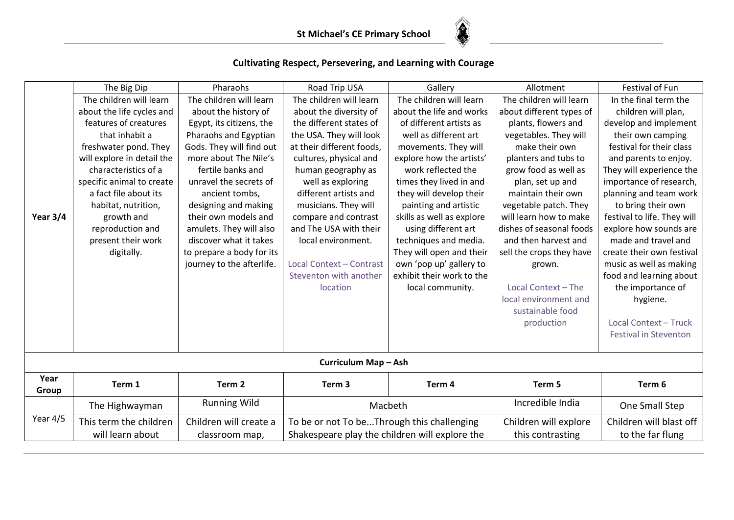

|            | The Big Dip                | Pharaohs                  | Road Trip USA                                  | Gallery                   | Allotment                | Festival of Fun              |
|------------|----------------------------|---------------------------|------------------------------------------------|---------------------------|--------------------------|------------------------------|
|            | The children will learn    | The children will learn   | The children will learn                        | The children will learn   | The children will learn  | In the final term the        |
|            | about the life cycles and  | about the history of      | about the diversity of                         | about the life and works  | about different types of | children will plan,          |
|            | features of creatures      | Egypt, its citizens, the  | the different states of                        | of different artists as   | plants, flowers and      | develop and implement        |
|            | that inhabit a             | Pharaohs and Egyptian     | the USA. They will look                        | well as different art     | vegetables. They will    | their own camping            |
|            | freshwater pond. They      | Gods. They will find out  | at their different foods,                      | movements. They will      | make their own           | festival for their class     |
|            | will explore in detail the | more about The Nile's     | cultures, physical and                         | explore how the artists'  | planters and tubs to     | and parents to enjoy.        |
|            | characteristics of a       | fertile banks and         | human geography as                             | work reflected the        | grow food as well as     | They will experience the     |
|            | specific animal to create  | unravel the secrets of    | well as exploring                              | times they lived in and   | plan, set up and         | importance of research,      |
|            | a fact file about its      | ancient tombs,            | different artists and                          | they will develop their   | maintain their own       | planning and team work       |
|            | habitat, nutrition,        | designing and making      | musicians. They will                           | painting and artistic     | vegetable patch. They    | to bring their own           |
| Year $3/4$ | growth and                 | their own models and      | compare and contrast                           | skills as well as explore | will learn how to make   | festival to life. They will  |
|            | reproduction and           | amulets. They will also   | and The USA with their                         | using different art       | dishes of seasonal foods | explore how sounds are       |
|            | present their work         | discover what it takes    | local environment.                             | techniques and media.     | and then harvest and     | made and travel and          |
|            | digitally.                 | to prepare a body for its |                                                | They will open and their  | sell the crops they have | create their own festival    |
|            |                            | journey to the afterlife. | Local Context - Contrast                       | own 'pop up' gallery to   | grown.                   | music as well as making      |
|            |                            |                           | Steventon with another                         | exhibit their work to the |                          | food and learning about      |
|            |                            |                           | location                                       | local community.          | Local Context - The      | the importance of            |
|            |                            |                           |                                                |                           | local environment and    | hygiene.                     |
|            |                            |                           |                                                |                           | sustainable food         |                              |
|            |                            |                           |                                                |                           | production               | Local Context - Truck        |
|            |                            |                           |                                                |                           |                          | <b>Festival in Steventon</b> |
|            |                            |                           |                                                |                           |                          |                              |
|            |                            |                           | Curriculum Map - Ash                           |                           |                          |                              |
| Year       | Term 1                     | Term <sub>2</sub>         | Term <sub>3</sub>                              | Term 4                    | Term 5                   | Term 6                       |
| Group      |                            |                           |                                                |                           |                          |                              |
|            | The Highwayman             | <b>Running Wild</b>       |                                                | Macbeth                   | Incredible India         | One Small Step               |
| Year 4/5   | This term the children     | Children will create a    | To be or not To beThrough this challenging     |                           | Children will explore    | Children will blast off      |
|            | will learn about           | classroom map,            | Shakespeare play the children will explore the |                           | this contrasting         | to the far flung             |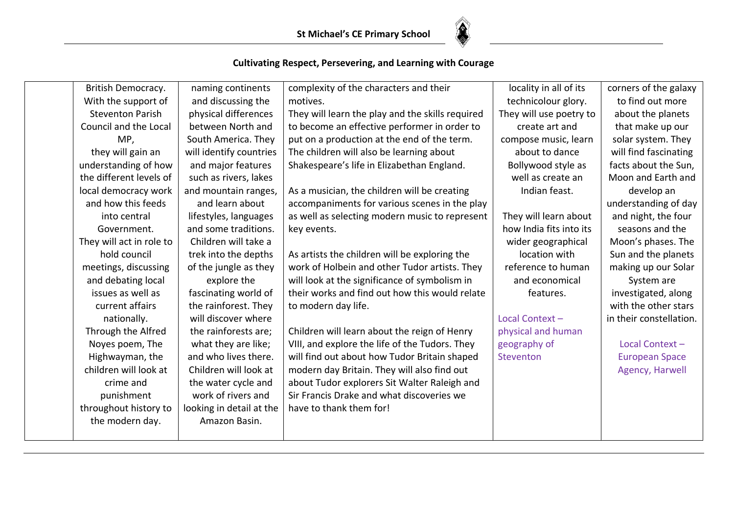

| British Democracy.       | naming continents        | complexity of the characters and their           | locality in all of its  | corners of the galaxy   |
|--------------------------|--------------------------|--------------------------------------------------|-------------------------|-------------------------|
| With the support of      | and discussing the       | motives.                                         | technicolour glory.     | to find out more        |
| <b>Steventon Parish</b>  | physical differences     | They will learn the play and the skills required | They will use poetry to | about the planets       |
| Council and the Local    | between North and        | to become an effective performer in order to     | create art and          | that make up our        |
| MP,                      | South America. They      | put on a production at the end of the term.      | compose music, learn    | solar system. They      |
| they will gain an        | will identify countries  | The children will also be learning about         | about to dance          | will find fascinating   |
| understanding of how     | and major features       | Shakespeare's life in Elizabethan England.       | Bollywood style as      | facts about the Sun,    |
| the different levels of  | such as rivers, lakes    |                                                  | well as create an       | Moon and Earth and      |
| local democracy work     | and mountain ranges,     | As a musician, the children will be creating     | Indian feast.           | develop an              |
| and how this feeds       | and learn about          | accompaniments for various scenes in the play    |                         | understanding of day    |
| into central             | lifestyles, languages    | as well as selecting modern music to represent   | They will learn about   | and night, the four     |
| Government.              | and some traditions.     | key events.                                      | how India fits into its | seasons and the         |
| They will act in role to | Children will take a     |                                                  | wider geographical      | Moon's phases. The      |
| hold council             | trek into the depths     | As artists the children will be exploring the    | location with           | Sun and the planets     |
| meetings, discussing     | of the jungle as they    | work of Holbein and other Tudor artists. They    | reference to human      | making up our Solar     |
| and debating local       | explore the              | will look at the significance of symbolism in    | and economical          | System are              |
| issues as well as        | fascinating world of     | their works and find out how this would relate   | features.               | investigated, along     |
| current affairs          | the rainforest. They     | to modern day life.                              |                         | with the other stars    |
| nationally.              | will discover where      |                                                  | Local Context-          | in their constellation. |
| Through the Alfred       | the rainforests are;     | Children will learn about the reign of Henry     | physical and human      |                         |
| Noyes poem, The          | what they are like;      | VIII, and explore the life of the Tudors. They   | geography of            | Local Context-          |
| Highwayman, the          | and who lives there.     | will find out about how Tudor Britain shaped     | Steventon               | <b>European Space</b>   |
| children will look at    | Children will look at    | modern day Britain. They will also find out      |                         | Agency, Harwell         |
| crime and                | the water cycle and      | about Tudor explorers Sit Walter Raleigh and     |                         |                         |
| punishment               | work of rivers and       | Sir Francis Drake and what discoveries we        |                         |                         |
| throughout history to    | looking in detail at the | have to thank them for!                          |                         |                         |
| the modern day.          | Amazon Basin.            |                                                  |                         |                         |
|                          |                          |                                                  |                         |                         |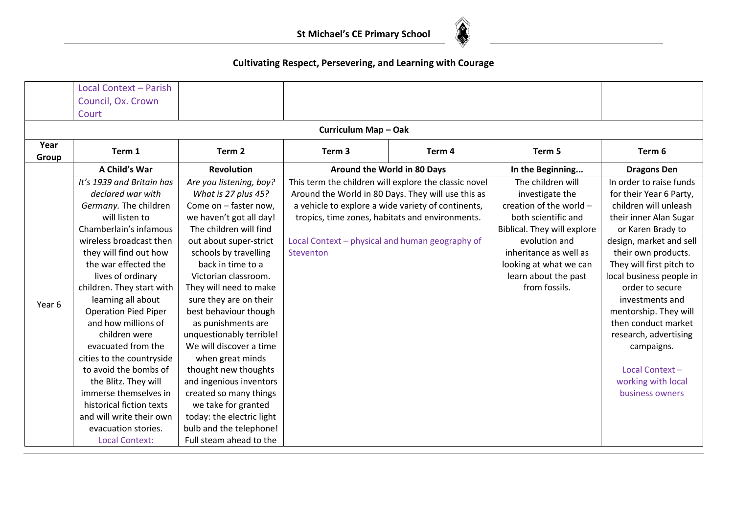

|        | Local Context - Parish      |                           |                                                       |        |                             |                          |
|--------|-----------------------------|---------------------------|-------------------------------------------------------|--------|-----------------------------|--------------------------|
|        | Council, Ox. Crown          |                           |                                                       |        |                             |                          |
|        | Court                       |                           |                                                       |        |                             |                          |
|        |                             |                           | Curriculum Map - Oak                                  |        |                             |                          |
| Year   | Term 1                      | Term <sub>2</sub>         | Term <sub>3</sub>                                     | Term 4 | Term 5                      | Term 6                   |
| Group  |                             |                           |                                                       |        |                             |                          |
|        | A Child's War               | <b>Revolution</b>         | Around the World in 80 Days                           |        | In the Beginning            | <b>Dragons Den</b>       |
|        | It's 1939 and Britain has   | Are you listening, boy?   | This term the children will explore the classic novel |        | The children will           | In order to raise funds  |
|        | declared war with           | What is 27 plus 45?       | Around the World in 80 Days. They will use this as    |        | investigate the             | for their Year 6 Party,  |
|        | Germany. The children       | Come on - faster now,     | a vehicle to explore a wide variety of continents,    |        | creation of the world -     | children will unleash    |
|        | will listen to              | we haven't got all day!   | tropics, time zones, habitats and environments.       |        | both scientific and         | their inner Alan Sugar   |
|        | Chamberlain's infamous      | The children will find    |                                                       |        | Biblical. They will explore | or Karen Brady to        |
|        | wireless broadcast then     | out about super-strict    | Local Context - physical and human geography of       |        | evolution and               | design, market and sell  |
|        | they will find out how      | schools by travelling     | Steventon                                             |        | inheritance as well as      | their own products.      |
|        | the war effected the        | back in time to a         |                                                       |        | looking at what we can      | They will first pitch to |
|        | lives of ordinary           | Victorian classroom.      |                                                       |        | learn about the past        | local business people in |
|        | children. They start with   | They will need to make    |                                                       |        | from fossils.               | order to secure          |
| Year 6 | learning all about          | sure they are on their    |                                                       |        |                             | investments and          |
|        | <b>Operation Pied Piper</b> | best behaviour though     |                                                       |        |                             | mentorship. They will    |
|        | and how millions of         | as punishments are        |                                                       |        |                             | then conduct market      |
|        | children were               | unquestionably terrible!  |                                                       |        |                             | research, advertising    |
|        | evacuated from the          | We will discover a time   |                                                       |        |                             | campaigns.               |
|        | cities to the countryside   | when great minds          |                                                       |        |                             |                          |
|        | to avoid the bombs of       | thought new thoughts      |                                                       |        |                             | Local Context-           |
|        | the Blitz. They will        | and ingenious inventors   |                                                       |        |                             | working with local       |
|        | immerse themselves in       | created so many things    |                                                       |        |                             | business owners          |
|        | historical fiction texts    | we take for granted       |                                                       |        |                             |                          |
|        | and will write their own    | today: the electric light |                                                       |        |                             |                          |
|        | evacuation stories.         | bulb and the telephone!   |                                                       |        |                             |                          |
|        | <b>Local Context:</b>       | Full steam ahead to the   |                                                       |        |                             |                          |